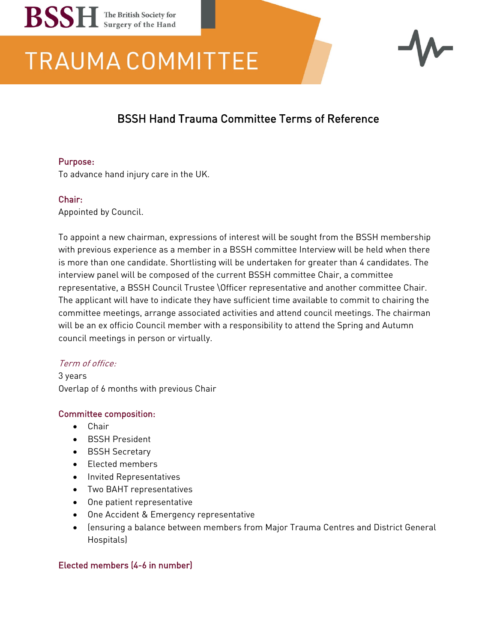# **BSSH** The British Society for

## **TRAUMA COMMITTEE**



### BSSH Hand Trauma Committee Terms of Reference

#### Purpose:

To advance hand injury care in the UK.

#### Chair:

Appointed by Council.

To appoint a new chairman, expressions of interest will be sought from the BSSH membership with previous experience as a member in a BSSH committee Interview will be held when there is more than one candidate. Shortlisting will be undertaken for greater than 4 candidates. The interview panel will be composed of the current BSSH committee Chair, a committee representative, a BSSH Council Trustee \Officer representative and another committee Chair. The applicant will have to indicate they have sufficient time available to commit to chairing the committee meetings, arrange associated activities and attend council meetings. The chairman will be an ex officio Council member with a responsibility to attend the Spring and Autumn council meetings in person or virtually.

#### Term of office:

3 years Overlap of 6 months with previous Chair

#### Committee composition:

- Chair
- BSSH President
- BSSH Secretary
- Elected members
- Invited Representatives
- Two BAHT representatives
- One patient representative
- One Accident & Emergency representative
- (ensuring a balance between members from Major Trauma Centres and District General Hospitals)

#### Elected members (4-6 in number)